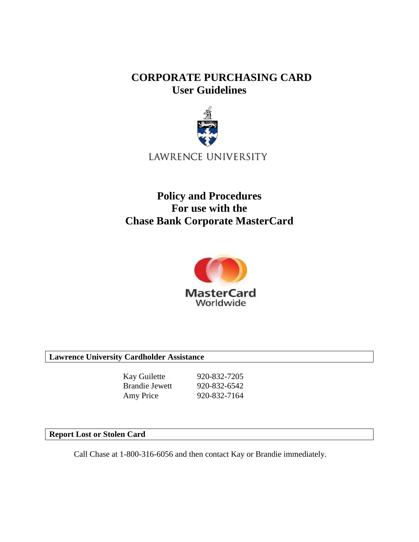# **CORPORATE PURCHASING CARD User Guidelines**



# **Policy and Procedures For use with the Chase Bank Corporate MasterCard**



## **Lawrence University Cardholder Assistance**

Kay Guilette 920-832-7205 Brandie Jewett 920-832-6542 Amy Price 920-832-7164

## **Report Lost or Stolen Card**

Call Chase at 1-800-316-6056 and then contact Kay or Brandie immediately.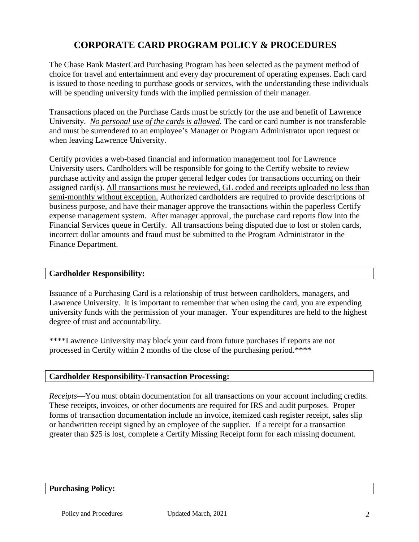## **CORPORATE CARD PROGRAM POLICY & PROCEDURES**

The Chase Bank MasterCard Purchasing Program has been selected as the payment method of choice for travel and entertainment and every day procurement of operating expenses. Each card is issued to those needing to purchase goods or services, with the understanding these individuals will be spending university funds with the implied permission of their manager.

Transactions placed on the Purchase Cards must be strictly for the use and benefit of Lawrence University. *No personal use of the cards is allowed.* The card or card number is not transferable and must be surrendered to an employee's Manager or Program Administrator upon request or when leaving Lawrence University.

Certify provides a web-based financial and information management tool for Lawrence University users*.* Cardholders will be responsible for going to the Certify website to review purchase activity and assign the proper general ledger codes for transactions occurring on their assigned card(s). All transactions must be reviewed, GL coded and receipts uploaded no less than semi-monthly without exception. Authorized cardholders are required to provide descriptions of business purpose, and have their manager approve the transactions within the paperless Certify expense management system. After manager approval, the purchase card reports flow into the Financial Services queue in Certify. All transactions being disputed due to lost or stolen cards, incorrect dollar amounts and fraud must be submitted to the Program Administrator in the Finance Department.

### **Cardholder Responsibility:**

Issuance of a Purchasing Card is a relationship of trust between cardholders, managers, and Lawrence University. It is important to remember that when using the card, you are expending university funds with the permission of your manager. Your expenditures are held to the highest degree of trust and accountability.

\*\*\*\*Lawrence University may block your card from future purchases if reports are not processed in Certify within 2 months of the close of the purchasing period.\*\*\*\*

### **Cardholder Responsibility-Transaction Processing:**

*Receipts*—You must obtain documentation for all transactions on your account including credits. These receipts, invoices, or other documents are required for IRS and audit purposes. Proper forms of transaction documentation include an invoice, itemized cash register receipt, sales slip or handwritten receipt signed by an employee of the supplier. If a receipt for a transaction greater than \$25 is lost, complete a Certify Missing Receipt form for each missing document.

#### **Purchasing Policy:**